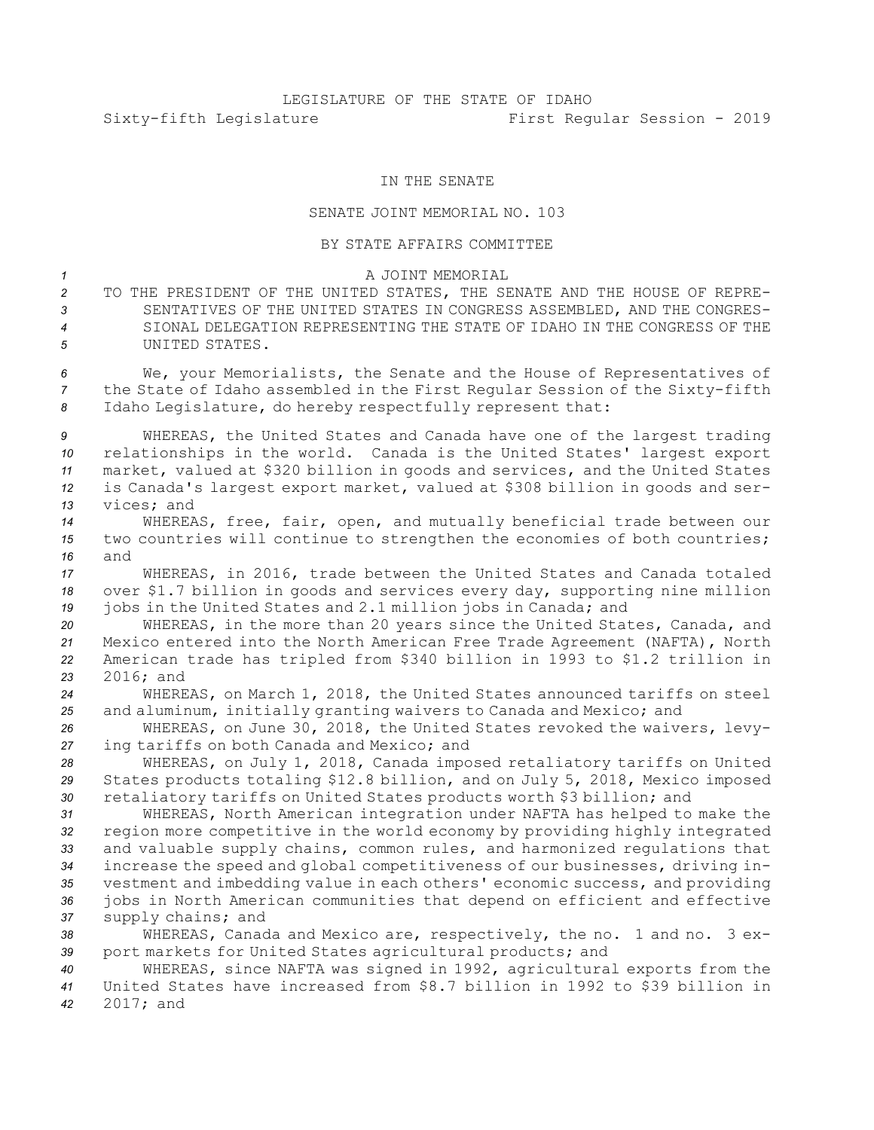## IN THE SENATE

## SENATE JOINT MEMORIAL NO. 103

## BY STATE AFFAIRS COMMITTEE

## *1* A JOINT MEMORIAL

 TO THE PRESIDENT OF THE UNITED STATES, THE SENATE AND THE HOUSE OF REPRE- SENTATIVES OF THE UNITED STATES IN CONGRESS ASSEMBLED, AND THE CONGRES- SIONAL DELEGATION REPRESENTING THE STATE OF IDAHO IN THE CONGRESS OF THE UNITED STATES.

*<sup>6</sup>* We, your Memorialists, the Senate and the House of Representatives of *<sup>7</sup>* the State of Idaho assembled in the First Regular Session of the Sixty-fifth *<sup>8</sup>* Idaho Legislature, do hereby respectfully represent that:

 WHEREAS, the United States and Canada have one of the largest trading relationships in the world. Canada is the United States' largest export market, valued at \$320 billion in goods and services, and the United States is Canada's largest export market, valued at \$308 billion in goods and ser-vices; and

*<sup>14</sup>* WHEREAS, free, fair, open, and mutually beneficial trade between our *<sup>15</sup>* two countries will continue to strengthen the economies of both countries; *16* and

*<sup>17</sup>* WHEREAS, in 2016, trade between the United States and Canada totaled *<sup>18</sup>* over \$1.7 billion in goods and services every day, supporting nine million *<sup>19</sup>* jobs in the United States and 2.1 million jobs in Canada; and

 WHEREAS, in the more than 20 years since the United States, Canada, and Mexico entered into the North American Free Trade Agreement (NAFTA), North American trade has tripled from \$340 billion in 1993 to \$1.2 trillion in 2016; and

*<sup>24</sup>* WHEREAS, on March 1, 2018, the United States announced tariffs on steel *<sup>25</sup>* and aluminum, initially granting waivers to Canada and Mexico; and

*<sup>26</sup>* WHEREAS, on June 30, 2018, the United States revoked the waivers, levy-*<sup>27</sup>* ing tariffs on both Canada and Mexico; and

*<sup>28</sup>* WHEREAS, on July 1, 2018, Canada imposed retaliatory tariffs on United *<sup>29</sup>* States products totaling \$12.8 billion, and on July 5, 2018, Mexico imposed *<sup>30</sup>* retaliatory tariffs on United States products worth \$3 billion; and

 WHEREAS, North American integration under NAFTA has helped to make the region more competitive in the world economy by providing highly integrated and valuable supply chains, common rules, and harmonized regulations that increase the speed and global competitiveness of our businesses, driving in- vestment and imbedding value in each others' economic success, and providing jobs in North American communities that depend on efficient and effective supply chains; and

*<sup>38</sup>* WHEREAS, Canada and Mexico are, respectively, the no. 1 and no. 3 ex-*<sup>39</sup>* port markets for United States agricultural products; and

*<sup>40</sup>* WHEREAS, since NAFTA was signed in 1992, agricultural exports from the *<sup>41</sup>* United States have increased from \$8.7 billion in 1992 to \$39 billion in *42* 2017; and